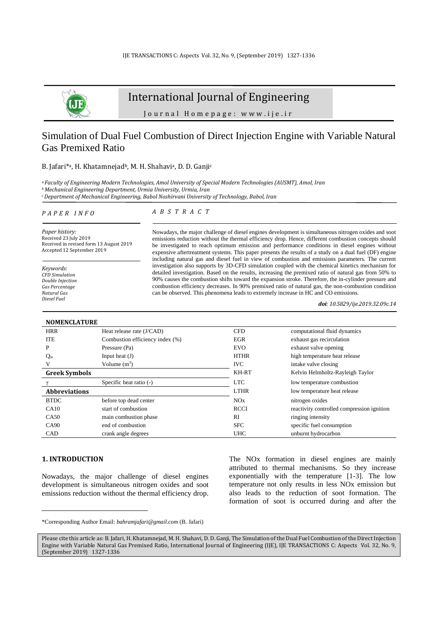

# International Journal of Engineering

J o u r n a l H o m e p a g e : w w w . i j e . i r

# Simulation of Dual Fuel Combustion of Direct Injection Engine with Variable Natural Gas Premixed Ratio

#### B. Jafari<sup>\*a</sup>, H. Khatamnejad<sup>b</sup>, M. H. Shahavi<sup>a</sup>, D. D. Ganji<sup>c</sup>

*<sup>a</sup> Faculty of Engineering Modern Technologies, Amol University of Special Modern Technologies (AUSMT), Amol, Iran <sup>b</sup>Mechanical Engineering Department, Urmia University, Urmia, Iran*

*<sup>c</sup>Department of Mechanical Engineering, Babol Noshirvani University of Technology, Babol, Iran* 

#### *P A P E R I N F O*

#### *A B S T R A C T*

*Paper history:* Received 23 July 2019 Received in revised form 13 August 2019 Accepted 12 September 2019

*Keywords*: *CFD Simulation Double Injection Gas Percentage Natural Gas Diesel Fuel*

#### Nowadays, the major challenge of diesel engines development is simultaneous nitrogen oxides and soot emissions reduction without the thermal efficiency drop. Hence, different combustion concepts should be investigated to reach optimum emission and performance conditions in diesel engines without expensive aftertreatment systems. This paper presents the results of a study on a dual fuel (DF) engine including natural gas and diesel fuel in view of combustion and emissions parameters. The current investigation also supports by 3D-CFD simulation coupled with the chemical kinetics mechanism for detailed investigation. Based on the results, increasing the premixed ratio of natural gas from 50% to 90% causes the combustion shifts toward the expansion stroke. Therefore, the in-cylinder pressure and combustion efficiency decreases. In 90% premixed ratio of natural gas, the non-combustion condition can be observed. This phenomena leads to extremely increase in HC and CO emissions.

*doi: 10.5829/ije.2019.32.09c.14*

| <b>NOMENCLATURE</b>  |                                 |             |                                            |  |  |  |
|----------------------|---------------------------------|-------------|--------------------------------------------|--|--|--|
| <b>HRR</b>           | Heat release rate (J/CAD)       | <b>CFD</b>  | computational fluid dynamics               |  |  |  |
| <b>ITE</b>           | Combustion efficiency index (%) | <b>EGR</b>  | exhaust gas recirculation                  |  |  |  |
| P                    | Pressure (Pa)                   | <b>EVO</b>  | exhaust valve opening                      |  |  |  |
| $Q_{in}$             | Input heat $(J)$                | <b>HTHR</b> | high temperature heat release              |  |  |  |
| V                    | Volume $(m^3)$                  | <b>IVC</b>  | intake valve closing                       |  |  |  |
| <b>Greek Symbols</b> |                                 | KH-RT       | Kelvin Helmholtz-Rayleigh Taylor           |  |  |  |
|                      | Specific heat ratio (-)         | <b>LTC</b>  | low temperature combustion                 |  |  |  |
| <b>Abbreviations</b> |                                 | <b>LTHR</b> | low temperature heat release               |  |  |  |
| <b>BTDC</b>          | before top dead center          | NOx         | nitrogen oxides                            |  |  |  |
| CA10                 | start of combustion             | <b>RCCI</b> | reactivity controlled compression ignition |  |  |  |
| CA50                 | main combustion phase           | RI          | ringing intensity                          |  |  |  |
| CA90                 | end of combustion               | <b>SFC</b>  | specific fuel consumption                  |  |  |  |
| <b>CAD</b>           | crank angle degrees             | <b>UHC</b>  | unburnt hydrocarbon                        |  |  |  |

## **1. INTRODUCTION<sup>1</sup>**

Nowadays, the major challenge of diesel engines development is simultaneous nitrogen oxides and soot emissions reduction without the thermal efficiency drop.

The NOx formation in diesel engines are mainly attributed to thermal mechanisms. So they increase exponentially with the temperature [\[1-3\]](#page-8-0). The low temperature not only results in less NOx emission but also leads to the reduction of soot formation. The formation of soot is occurred during and after the

<sup>\*</sup>Corresponding Author Email: *bahramjafari@gmail.com* (B. Jafari)

Please cite this article as: B. Jafari, H. Khatamnejad, M. H. Shahavi, D. D. Ganji, The Simulation of the Dual Fuel Combustion of the Direct Injection Engine with Variable Natural Gas Premixed Ratio, International Journal of Engineering (IJE), IJE TRANSACTIONS C: Aspects Vol. 32, No. 9, (September 2019) 1327-1336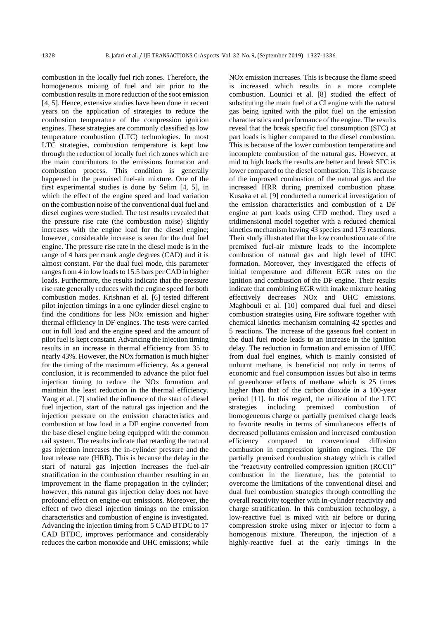combustion in the locally fuel rich zones. Therefore, the homogeneous mixing of fuel and air prior to the combustion results in more reduction of the soot emission [\[4,](#page-8-1) [5\]](#page-8-2). Hence, extensive studies have been done in recent years on the application of strategies to reduce the combustion temperature of the compression ignition engines. These strategies are commonly classified as low temperature combustion (LTC) technologies. In most LTC strategies, combustion temperature is kept low through the reduction of locally fuel rich zones which are the main contributors to the emissions formation and combustion process. This condition is generally happened in the premixed fuel-air mixture. One of the first experimental studies is done by Selim [\[4,](#page-8-1) [5\]](#page-8-2), in which the effect of the engine speed and load variation on the combustion noise of the conventional dual fuel and diesel engines were studied. The test results revealed that the pressure rise rate (the combustion noise) slightly increases with the engine load for the diesel engine; however, considerable increase is seen for the dual fuel engine. The pressure rise rate in the diesel mode is in the range of 4 bars per crank angle degrees (CAD) and it is almost constant. For the dual fuel mode, this parameter ranges from 4 in low loads to 15.5 bars per CAD in higher loads. Furthermore, the results indicate that the pressure rise rate generally reduces with the engine speed for both combustion modes. Krishnan et al. [\[6\]](#page-8-3) tested different pilot injection timings in a one cylinder diesel engine to find the conditions for less NOx emission and higher thermal efficiency in DF engines. The tests were carried out in full load and the engine speed and the amount of pilot fuel is kept constant. Advancing the injection timing results in an increase in thermal efficiency from 35 to nearly 43%. However, the NOx formation is much higher for the timing of the maximum efficiency. As a general conclusion, it is recommended to advance the pilot fuel injection timing to reduce the NOx formation and maintain the least reduction in the thermal efficiency. Yang et al. [\[7\]](#page-8-4) studied the influence of the start of diesel fuel injection, start of the natural gas injection and the injection pressure on the emission characteristics and combustion at low load in a DF engine converted from the base diesel engine being equipped with the common rail system. The results indicate that retarding the natural gas injection increases the in-cylinder pressure and the heat release rate (HRR). This is because the delay in the start of natural gas injection increases the fuel-air stratification in the combustion chamber resulting in an improvement in the flame propagation in the cylinder; however, this natural gas injection delay does not have profound effect on engine-out emissions. Moreover, the effect of two diesel injection timings on the emission characteristics and combustion of engine is investigated. Advancing the injection timing from 5 CAD BTDC to 17 CAD BTDC, improves performance and considerably reduces the carbon monoxide and UHC emissions; while NOx emission increases. This is because the flame speed is increased which results in a more complete combustion. Lounici et al. [\[8\]](#page-8-5) studied the effect of substituting the main fuel of a CI engine with the natural gas being ignited with the pilot fuel on the emission characteristics and performance of the engine. The results reveal that the break specific fuel consumption (SFC) at part loads is higher compared to the diesel combustion. This is because of the lower combustion temperature and incomplete combustion of the natural gas. However, at mid to high loads the results are better and break SFC is lower compared to the diesel combustion. This is because of the improved combustion of the natural gas and the increased HRR during premixed combustion phase. Kusaka et al. [\[9\]](#page-8-6) conducted a numerical investigation of the emission characteristics and combustion of a DF engine at part loads using CFD method. They used a tridimensional model together with a reduced chemical kinetics mechanism having 43 species and 173 reactions. Their study illustrated that the low combustion rate of the premixed fuel-air mixture leads to the incomplete combustion of natural gas and high level of UHC formation. Moreover, they investigated the effects of initial temperature and different EGR rates on the ignition and combustion of the DF engine. Their results indicate that combining EGR with intake mixture heating effectively decreases NOx and UHC emissions. Maghbouli et al. [\[10\]](#page-8-7) compared dual fuel and diesel combustion strategies using Fire software together with chemical kinetics mechanism containing 42 species and 5 reactions. The increase of the gaseous fuel content in the dual fuel mode leads to an increase in the ignition delay. The reduction in formation and emission of UHC from dual fuel engines, which is mainly consisted of unburnt methane, is beneficial not only in terms of economic and fuel consumption issues but also in terms of greenhouse effects of methane which is 25 times higher than that of the carbon dioxide in a 100-year period [\[11\]](#page-8-8). In this regard, the utilization of the LTC strategies including premixed combustion of homogeneous charge or partially premixed charge leads to favorite results in terms of simultaneous effects of decreased pollutants emission and increased combustion efficiency compared to conventional diffusion combustion in compression ignition engines. The DF partially premixed combustion strategy which is called the "reactivity controlled compression ignition (RCCI)" combustion in the literature, has the potential to overcome the limitations of the conventional diesel and dual fuel combustion strategies through controlling the overall reactivity together with in-cylinder reactivity and charge stratification. In this combustion technology, a low-reactive fuel is mixed with air before or during compression stroke using mixer or injector to form a homogenous mixture. Thereupon, the injection of a highly-reactive fuel at the early timings in the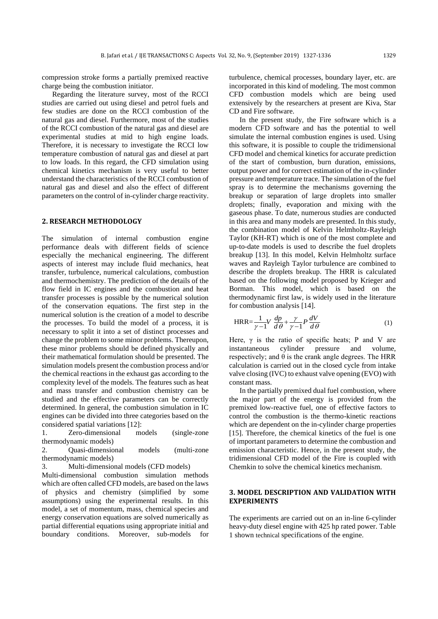compression stroke forms a partially premixed reactive charge being the combustion initiator.

Regarding the literature survey, most of the RCCI studies are carried out using diesel and petrol fuels and few studies are done on the RCCI combustion of the natural gas and diesel. Furthermore, most of the studies of the RCCI combustion of the natural gas and diesel are experimental studies at mid to high engine loads. Therefore, it is necessary to investigate the RCCI low temperature combustion of natural gas and diesel at part to low loads. In this regard, the CFD simulation using chemical kinetics mechanism is very useful to better understand the characteristics of the RCCI combustion of natural gas and diesel and also the effect of different parameters on the control of in-cylinder charge reactivity.

# **2. RESEARCH METHODOLOGY**

The simulation of internal combustion engine performance deals with different fields of science especially the mechanical engineering. The different aspects of interest may include fluid mechanics, heat transfer, turbulence, numerical calculations, combustion and thermochemistry. The prediction of the details of the flow field in IC engines and the combustion and heat transfer processes is possible by the numerical solution of the conservation equations. The first step in the numerical solution is the creation of a model to describe the processes. To build the model of a process, it is necessary to split it into a set of distinct processes and change the problem to some minor problems. Thereupon, these minor problems should be defined physically and their mathematical formulation should be presented. The simulation models present the combustion process and/or the chemical reactions in the exhaust gas according to the complexity level of the models. The features such as heat and mass transfer and combustion chemistry can be studied and the effective parameters can be correctly determined. In general, the combustion simulation in IC engines can be divided into three categories based on the considered spatial variations [\[12\]](#page-8-9):

1. Zero-dimensional models (single-zone thermodynamic models)

2. Quasi-dimensional models (multi-zone thermodynamic models)

3. Multi-dimensional models (CFD models)

Multi-dimensional combustion simulation methods which are often called CFD models, are based on the laws of physics and chemistry (simplified by some assumptions) using the experimental results. In this model, a set of momentum, mass, chemical species and energy conservation equations are solved numerically as partial differential equations using appropriate initial and boundary conditions. Moreover, sub-models for turbulence, chemical processes, boundary layer, etc. are incorporated in this kind of modeling. The most common CFD combustion models which are being used extensively by the researchers at present are Kiva, Star CD and Fire software.

In the present study, the Fire software which is a modern CFD software and has the potential to well simulate the internal combustion engines is used. Using this software, it is possible to couple the tridimensional CFD model and chemical kinetics for accurate prediction of the start of combustion, burn duration, emissions, output power and for correct estimation of the in-cylinder pressure and temperature trace. The simulation of the fuel spray is to determine the mechanisms governing the breakup or separation of large droplets into smaller droplets; finally, evaporation and mixing with the gaseous phase. To date, numerous studies are conducted in this area and many models are presented. In this study, the combination model of Kelvin Helmholtz-Rayleigh Taylor (KH-RT) which is one of the most complete and up-to-date models is used to describe the fuel droplets breakup [\[13\]](#page-8-10). In this model, Kelvin Helmholtz surface waves and Rayleigh Taylor turbulence are combined to describe the droplets breakup. The HRR is calculated based on the following model proposed by Krieger and Borman. This model, which is based on the thermodynamic first law, is widely used in the literature for combustion analysis [\[14\]](#page-8-11).

$$
HRR = \frac{1}{\gamma - 1} V \frac{dp}{d\theta} + \frac{\gamma}{\gamma - 1} P \frac{dV}{d\theta}
$$
 (1)

Here,  $\gamma$  is the ratio of specific heats; P and V are instantaneous cylinder pressure and volume, respectively; and  $\theta$  is the crank angle degrees. The HRR calculation is carried out in the closed cycle from intake valve closing (IVC) to exhaust valve opening (EVO) with constant mass.

In the partially premixed dual fuel combustion, where the major part of the energy is provided from the premixed low-reactive fuel, one of effective factors to control the combustion is the thermo-kinetic reactions which are dependent on the in-cylinder charge properties [\[15\]](#page-8-12). Therefore, the chemical kinetics of the fuel is one of important parameters to determine the combustion and emission characteristic. Hence, in the present study, the tridimensional CFD model of the Fire is coupled with Chemkin to solve the chemical kinetics mechanism.

# **3. MODEL DESCRIPTION AND VALIDATION WITH EXPERIMENTS**

The experiments are carried out on an in-line 6-cylinder heavy-duty diesel engine with 425 hp rated power. Table 1 shown technical specifications of the engine.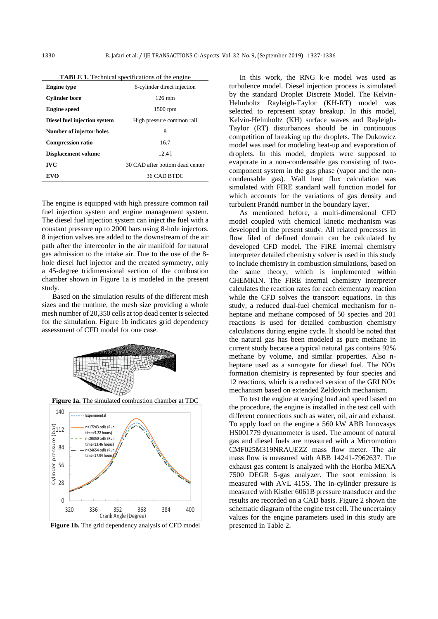| n <b>isien</b> it rechniem specifications of the engine |                                 |  |  |
|---------------------------------------------------------|---------------------------------|--|--|
| <b>Engine type</b>                                      | 6-cylinder direct injection     |  |  |
| <b>Cylinder bore</b>                                    | $126 \text{ mm}$                |  |  |
| <b>Engine</b> speed                                     | $1500$ rpm                      |  |  |
| Diesel fuel injection system                            | High pressure common rail       |  |  |
| Number of injector holes                                | 8                               |  |  |
| <b>Compression ratio</b>                                | 16.7                            |  |  |
| <b>Displacement volume</b>                              | 12.41                           |  |  |
| <b>IVC</b>                                              | 30 CAD after bottom dead center |  |  |
| <b>EVO</b>                                              | 36 CAD BTDC                     |  |  |
|                                                         |                                 |  |  |

| <b>TABLE 1.</b> Technical specifications of the engine |  |
|--------------------------------------------------------|--|
|                                                        |  |

The engine is equipped with high pressure common rail fuel injection system and engine management system. The diesel fuel injection system can inject the fuel with a constant pressure up to 2000 bars using 8-hole injectors. 8 injection valves are added to the downstream of the air path after the intercooler in the air manifold for natural gas admission to the intake air. Due to the use of the 8 hole diesel fuel injector and the created symmetry, only a 45-degree tridimensional section of the combustion chamber shown in Figure 1a is modeled in the present study.

Based on the simulation results of the different mesh sizes and the runtime, the mesh size providing a whole mesh number of 20,350 cells at top dead center is selected for the simulation. Figure 1b indicates grid dependency assessment of CFD model for one case.



Figure 1b. The grid dependency analysis of CFD model

In this work, the RNG k-e model was used as turbulence model. Diesel injection process is simulated by the standard Droplet Discrete Model. The Kelvin-Helmholtz Rayleigh-Taylor (KH-RT) model was selected to represent spray breakup. In this model, Kelvin-Helmholtz (KH) surface waves and Rayleigh-Taylor (RT) disturbances should be in continuous competition of breaking up the droplets. The Dukowicz model was used for modeling heat-up and evaporation of droplets. In this model, droplets were supposed to evaporate in a non-condensable gas consisting of twocomponent system in the gas phase (vapor and the noncondensable gas). Wall heat flux calculation was simulated with FIRE standard wall function model for which accounts for the variations of gas density and turbulent Prandtl number in the boundary layer.

As mentioned before, a multi-dimensional CFD model coupled with chemical kinetic mechanism was developed in the present study. All related processes in flow filed of defined domain can be calculated by developed CFD model. The FIRE internal chemistry interpreter detailed chemistry solver is used in this study to include chemistry in combustion simulations, based on the same theory, which is implemented within CHEMKIN. The FIRE internal chemistry interpreter calculates the reaction rates for each elementary reaction while the CFD solves the transport equations. In this study, a reduced dual-fuel chemical mechanism for nheptane and methane composed of 50 species and 201 reactions is used for detailed combustion chemistry calculations during engine cycle. It should be noted that the natural gas has been modeled as pure methane in current study because a typical natural gas contains 92% methane by volume, and similar properties. Also nheptane used as a surrogate for diesel fuel. The NOx formation chemistry is represented by four species and 12 reactions, which is a reduced version of the GRI NOx mechanism based on extended Zeldovich mechanism.

To test the engine at varying load and speed based on the procedure, the engine is installed in the test cell with different connections such as water, oil, air and exhaust. To apply load on the engine a 560 kW ABB Innovasys HS001779 dynamometer is used. The amount of natural gas and diesel fuels are measured with a Micromotion CMF025M319NRAUEZZ mass flow meter. The air mass flow is measured with ABB 14241-7962637. The exhaust gas content is analyzed with the Horiba MEXA 7500 DEGR 5-gas analyzer. The soot emission is measured with AVL 415S. The in-cylinder pressure is measured with Kistler 6061B pressure transducer and the results are recorded on a CAD basis. Figure 2 shown the schematic diagram of the engine test cell. The uncertainty values for the engine parameters used in this study are presented in Table 2.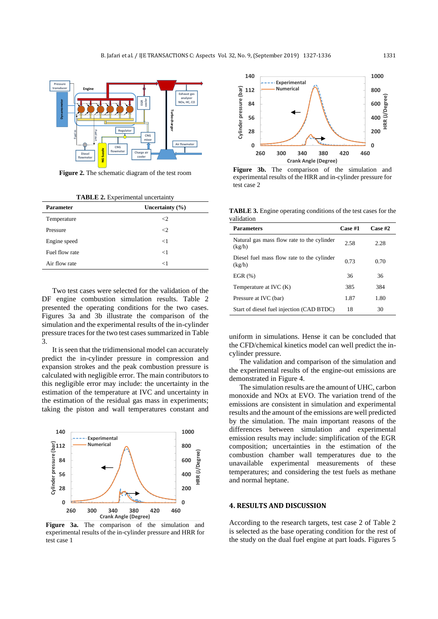

**Figure 2.** The schematic diagram of the test room

**TABLE 2.** Experimental uncertainty

| <b>Parameter</b> | Uncertainty $(\% )$ |
|------------------|---------------------|
| Temperature      | <2.                 |
| Pressure         | ←                   |
| Engine speed     | $<$ 1               |
| Fuel flow rate   | $\lt 1$             |
| Air flow rate    | ←1                  |

Two test cases were selected for the validation of the DF engine combustion simulation results. Table 2 presented the operating conditions for the two cases. Figures 3a and 3b illustrate the comparison of the simulation and the experimental results of the in-cylinder pressure traces for the two test cases summarized in Table 3.

It is seen that the tridimensional model can accurately predict the in-cylinder pressure in compression and expansion strokes and the peak combustion pressure is calculated with negligible error. The main contributors to this negligible error may include: the uncertainty in the estimation of the temperature at IVC and uncertainty in the estimation of the residual gas mass in experiments; taking the piston and wall temperatures constant and



**Figure 3a.** The comparison of the simulation and experimental results of the in-cylinder pressure and HRR for test case 1



**Figure 3b.** The comparison of the simulation and experimental results of the HRR and in-cylinder pressure for test case 2

**TABLE 3.** Engine operating conditions of the test cases for the validation

| <b>Parameters</b>                                    | Case #1 | Case #2 |
|------------------------------------------------------|---------|---------|
| Natural gas mass flow rate to the cylinder<br>(kg/h) | 2.58    | 2.28    |
| Diesel fuel mass flow rate to the cylinder<br>(kg/h) | 0.73    | 0.70    |
| EGR $(\%)$                                           | 36      | 36      |
| Temperature at IVC (K)                               | 385     | 384     |
| Pressure at IVC (bar)                                | 1.87    | 1.80    |
| Start of diesel fuel injection (CAD BTDC)            | 18      | 30      |

uniform in simulations. Hense it can be concluded that the CFD/chemical kinetics model can well predict the incylinder pressure.

The validation and comparison of the simulation and the experimental results of the engine-out emissions are demonstrated in Figure 4.

The simulation results are the amount of UHC, carbon monoxide and NOx at EVO. The variation trend of the emissions are consistent in simulation and experimental results and the amount of the emissions are well predicted by the simulation. The main important reasons of the differences between simulation and experimental emission results may include: simplification of the EGR composition; uncertainties in the estimation of the combustion chamber wall temperatures due to the unavailable experimental measurements of these temperatures; and considering the test fuels as methane and normal heptane. **EXAMPLE ASSESS AND THE CONSULTION CONSULTION CONSULTION CONSULTION CONSULTION CONSULTION CONSULTION CONSULTION CONSULTION CONSULTION CONSULTION CONSULTION CONSULTION CONSULTION CONSULTION CONSULTION CONSULTION CONSULTION** 

## **4. RESULTS AND DISCUSSION**

According to the research targets, test case 2 of Table 2 is selected as the base operating condition for the rest of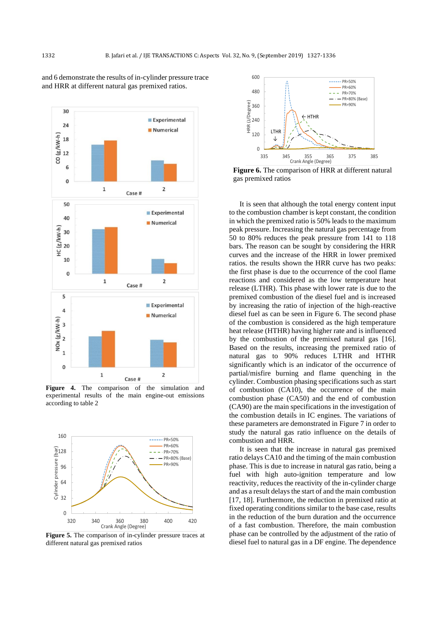

and 6 demonstrate the results of in-cylinder pressure trace and HRR at different natural gas premixed ratios.

**Figure 4.** The comparison of the simulation and experimental results of the main engine-out emissions according to table 2



**Figure 5.** The comparison of in-cylinder pressure traces at different natural gas premixed ratios



**Figure 6.** The comparison of HRR at different natural gas premixed ratios

It is seen that although the total energy content input to the combustion chamber is kept constant, the condition in which the premixed ratio is 50% leads to the maximum peak pressure. Increasing the natural gas percentage from 50 to 80% reduces the peak pressure from 141 to 118 bars. The reason can be sought by considering the HRR curves and the increase of the HRR in lower premixed ratios. the results shown the HRR curve has two peaks: the first phase is due to the occurrence of the cool flame reactions and considered as the low temperature heat release (LTHR). This phase with lower rate is due to the premixed combustion of the diesel fuel and is increased by increasing the ratio of injection of the high-reactive diesel fuel as can be seen in Figure 6. The second phase of the combustion is considered as the high temperature heat release (HTHR) having higher rate and is influenced by the combustion of the premixed natural gas [\[16\]](#page-8-13). Based on the results, increasing the premixed ratio of natural gas to 90% reduces LTHR and HTHR significantly which is an indicator of the occurrence of partial/misfire burning and flame quenching in the cylinder. Combustion phasing specifications such as start of combustion (CA10), the occurrence of the main combustion phase (CA50) and the end of combustion (CA90) are the main specifications in the investigation of the combustion details in IC engines. The variations of these parameters are demonstrated in Figure 7 in order to study the natural gas ratio influence on the details of combustion and HRR.

It is seen that the increase in natural gas premixed ratio delays CA10 and the timing of the main combustion phase. This is due to increase in natural gas ratio, being a fuel with high auto-ignition temperature and low reactivity, reduces the reactivity of the in-cylinder charge and as a result delays the start of and the main combustion [\[17,](#page-8-14) [18\]](#page-8-15). Furthermore, the reduction in premixed ratio at fixed operating conditions similar to the base case, results in the reduction of the burn duration and the occurrence of a fast combustion. Therefore, the main combustion phase can be controlled by the adjustment of the ratio of diesel fuel to natural gas in a DF engine. The dependence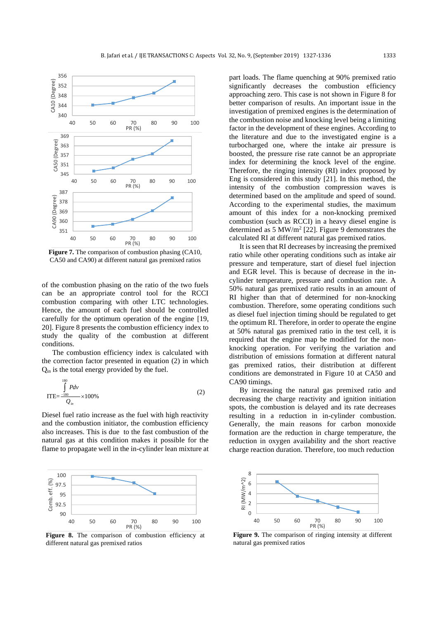

**Figure 7.** The comparison of combustion phasing (CA10, CA50 and CA90) at different natural gas premixed ratios

of the combustion phasing on the ratio of the two fuels can be an appropriate control tool for the RCCI combustion comparing with other LTC technologies. Hence, the amount of each fuel should be controlled carefully for the optimum operation of the engine [\[19,](#page-8-16)  [20\]](#page-8-17). Figure 8 presents the combustion efficiency index to study the quality of the combustion at different conditions.

The combustion efficiency index is calculated with the correction factor presented in equation (2) in which Qin is the total energy provided by the fuel.

$$
\text{ITE} = \frac{\int_{180}^{180} P dv}{Q_{in}} \times 100\%
$$
 (2)

Diesel fuel ratio increase as the fuel with high reactivity and the combustion initiator, the combustion efficiency also increases. This is due to the fast combustion of the natural gas at this condition makes it possible for the flame to propagate well in the in-cylinder lean mixture at



Figure 8. The comparison of combustion efficiency at different natural gas premixed ratios

part loads. The flame quenching at 90% premixed ratio significantly decreases the combustion efficiency approaching zero. This case is not shown in Figure 8 for better comparison of results. An important issue in the investigation of premixed engines is the determination of the combustion noise and knocking level being a limiting factor in the development of these engines. According to the literature and due to the investigated engine is a turbocharged one, where the intake air pressure is boosted, the pressure rise rate cannot be an appropriate index for determining the knock level of the engine. Therefore, the ringing intensity (RI) index proposed by Eng is considered in this study [\[21\]](#page-8-18). In this method, the intensity of the combustion compression waves is determined based on the amplitude and speed of sound. According to the experimental studies, the maximum amount of this index for a non-knocking premixed combustion (such as RCCI) in a heavy diesel engine is determined as 5 MW/m<sup>2</sup> [\[22\]](#page-8-19). Figure 9 demonstrates the calculated RI at different natural gas premixed ratios.

It is seen that RI decreases by increasing the premixed ratio while other operating conditions such as intake air pressure and temperature, start of diesel fuel injection and EGR level. This is because of decrease in the incylinder temperature, pressure and combustion rate. A 50% natural gas premixed ratio results in an amount of RI higher than that of determined for non-knocking combustion. Therefore, some operating conditions such as diesel fuel injection timing should be regulated to get the optimum RI. Therefore, in order to operate the engine at 50% natural gas premixed ratio in the test cell, it is required that the engine map be modified for the nonknocking operation. For verifying the variation and distribution of emissions formation at different natural gas premixed ratios, their distribution at different conditions are demonstrated in Figure 10 at CA50 and CA90 timings.

By increasing the natural gas premixed ratio and decreasing the charge reactivity and ignition initiation spots, the combustion is delayed and its rate decreases resulting in a reduction in in-cylinder combustion. Generally, the main reasons for carbon monoxide formation are the reduction in charge temperature, the reduction in oxygen availability and the short reactive charge reaction duration. Therefore, too much reduction



**Figure 9.** The comparison of ringing intensity at different natural gas premixed ratios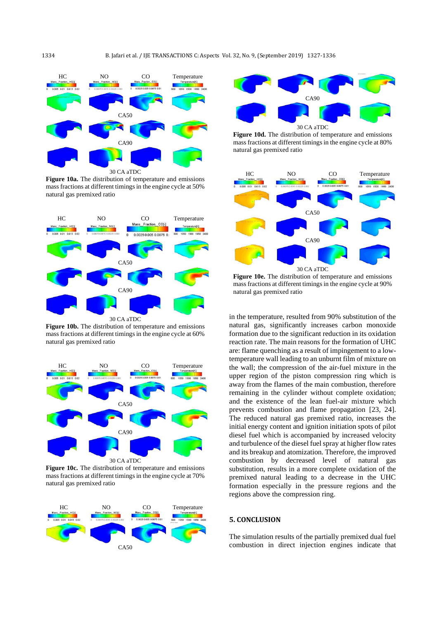

**Figure 10a.** The distribution of temperature and emissions mass fractions at different timings in the engine cycle at 50% natural gas premixed ratio



**Figure 10b.** The distribution of temperature and emissions mass fractions at different timings in the engine cycle at 60% natural gas premixed ratio



**Figure 10c.** The distribution of temperature and emissions mass fractions at different timings in the engine cycle at 70% natural gas premixed ratio





**Figure 10d.** The distribution of temperature and emissions mass fractions at different timings in the engine cycle at 80% natural gas premixed ratio



**Figure 10e.** The distribution of temperature and emissions mass fractions at different timings in the engine cycle at 90% natural gas premixed ratio

in the temperature, resulted from 90% substitution of the natural gas, significantly increases carbon monoxide formation due to the significant reduction in its oxidation reaction rate. The main reasons for the formation of UHC are: flame quenching as a result of impingement to a lowtemperature wall leading to an unburnt film of mixture on the wall; the compression of the air-fuel mixture in the upper region of the piston compression ring which is away from the flames of the main combustion, therefore remaining in the cylinder without complete oxidation; and the existence of the lean fuel-air mixture which prevents combustion and flame propagation [\[23,](#page-8-20) [24\]](#page-8-21). The reduced natural gas premixed ratio, increases the initial energy content and ignition initiation spots of pilot diesel fuel which is accompanied by increased velocity and turbulence of the diesel fuel spray at higher flow rates and its breakup and atomization. Therefore, the improved combustion by decreased level of natural gas substitution, results in a more complete oxidation of the premixed natural leading to a decrease in the UHC formation especially in the pressure regions and the regions above the compression ring.

# **5. CONCLUSION**

The simulation results of the partially premixed dual fuel combustion in direct injection engines indicate that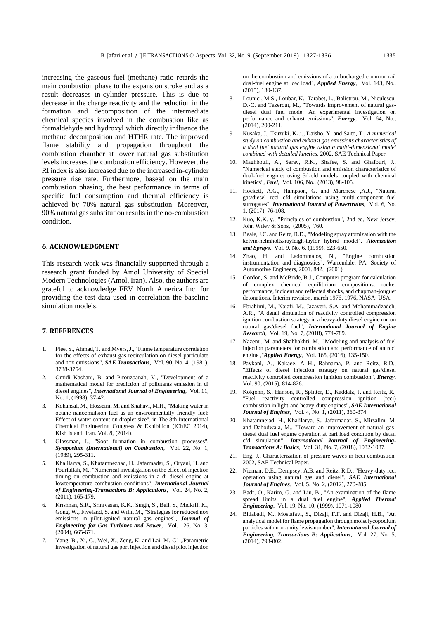increasing the gaseous fuel (methane) ratio retards the main combustion phase to the expansion stroke and as a result decreases in-cylinder pressure. This is due to decrease in the charge reactivity and the reduction in the formation and decomposition of the intermediate chemical species involved in the combustion like as formaldehyde and hydroxyl which directly influence the methane decomposition and HTHR rate. The improved flame stability and propagation throughout the combustion chamber at lower natural gas substitution levels increases the combustion efficiency. However, the RI index is also increased due to the increased in-cylinder pressure rise rate. Furthermore, basesd on the main combustion phasing, the best performance in terms of specific fuel consumption and thermal efficiency is achieved by 70% natural gas substitution. Moreover, 90% natural gas substitution results in the no-combustion condition.

### **6. ACKNOWLEDGMENT**

This research work was financially supported through a research grant funded by Amol University of Special Modern Technologies (Amol, Iran). Also, the authors are grateful to acknowledge FEV North America Inc. for providing the test data used in correlation the baseline simulation models.

#### **7. REFERENCES**

- <span id="page-8-0"></span>1. Plee, S., Ahmad, T. and Myers, J., "Flame temperature correlation for the effects of exhaust gas recirculation on diesel particulate and nox emissions", *SAE Transactions*, Vol. 90, No. 4, (1981), 3738-3754.
- 2. Omidi Kashani, B. and Pirouzpanah, V., "Development of a mathematical model for prediction of pollutants emission in di diesel engines", *International Journal of Engineering*, Vol. 11, No. 1, (1998), 37-42.
- 3 . Kohansal, M., Hosseini, M. and Shahavi, M.H., "Making water in octane nanoemulsion fuel as an environmentally friendly fuel: Effect of water content on droplet size", in The 8th International Chemical Engineering Congress & Exhibition (IChEC 2014), Kish Island, Iran. Vol. 8, (2014) .
- <span id="page-8-1"></span>Glassman, I., "Soot formation in combustion processes", *Symposium (International) on Combustion*, Vol. 22, No. 1, (1989), 295-311 .
- <span id="page-8-2"></span>5 . Khalilarya, S., Khatamnezhad, H., Jafarmadar, S., Oryani, H. and Pourfallah, M., "Numerical investigation on the effect of injection timing on combustion and emissions in a di diesel engine at lowtemperature combustion conditions", *International Journal of Engineering-Transactions B: Applications*, Vol. 24, No. 2, (2011), 165-179 .
- <span id="page-8-3"></span>6 . Krishnan, S.R., Srinivasan, K.K., Singh, S., Bell, S., Midkiff, K., Gong, W., Fiveland, S. and Willi, M., "Strategies for reduced nox emissions in pilot-ignited natural gas engines", *Journal of Engineering for Gas Turbines and Power*, Vol. 126, No. 3, (2004), 665-671.
- <span id="page-8-4"></span>7 . Yang, B., Xi, C., Wei, X., Zeng, K. and Lai, M.-C" ,.Parametric investigation of natural gas port injection and diesel pilot injection

on the combustion and emissions of a turbocharged common rail dual-fuel engine at low load", *Applied Energy*, Vol. 143, No., (2015), 130-137 .

- <span id="page-8-5"></span>Lounici, M.S., Loubar, K., Tarabet, L., Balistrou, M., Niculescu, D.-C. and Tazerout, M., "Towards improvement of natural gasdiesel dual fuel mode: An experimental investigation on performance and exhaust emissions", *Energy*, Vol. 64, No.,  $(2014)$ , 200-211.
- <span id="page-8-6"></span>9 . Kusaka, J., Tsuzuki, K -.i., Daisho, Y. and Saito, T., *A numerical study on combustion and exhaust gas emissions characteristics of a dual fuel natural gas engine using a multi-dimensional model combined with detailed kinetics*. 2002, SAE Technical Paper .
- <span id="page-8-7"></span>Maghbouli, A., Saray, R.K., Shafee, S. and Ghafouri, J., "Numerical study of combustion and emission characteristics of dual-fuel engines using 3d-cfd models coupled with chemical kinetics", *Fuel*, Vol. 106, No., (2013), 98-105 .
- <span id="page-8-8"></span>11 . Hockett, A.G., Hampson, G. and Marchese ,A.J., "Natural gas/diesel rcci cfd simulations using multi-component fuel surrogates", *International Journal of Powertrains*, Vol. 6, No. 1, (2017), 76-108.
- <span id="page-8-9"></span>12 . Kuo, K.K.-y., "Principles of combustion", 2nd ed, New Jersey, John Wiley & Sons, (2005), 760.
- <span id="page-8-10"></span>13 . Beale, J.C. and Reitz, R.D., "Modeling spray atomization with the kelvin-helmholtz/rayleigh-taylor hybrid model", *Atomization*  and Sprays, Vol. 9, No. 6, (1999), 623-650.
- <span id="page-8-11"></span>14 . Zhao, H. and Ladommatos, N., "Engine combustion instrumentation and diagnostics", Warrendale, PA: Society of Automotive Engineers, 2001. 842, (2001) .
- <span id="page-8-12"></span>15 . Gordon, S. and McBride, B.J., Computer program for calculation of complex chemical equilibrium compositions, rocket performance, incident and reflected shocks, and chapman-jouguet detonations. Interim revision, march 1976. 1976, NASA: USA.
- <span id="page-8-13"></span>16 . Ebrahimi, M., Najafi, M., Jazayeri, S.A. and Mohammadzadeh, A.R., "A detail simulation of reactivity controlled compression ignition combustion strategy in a heavy-duty diesel engine run on natural gas/diesel fuel", *International Journal of Engine Research*, Vol. 19, No. 7, (2018), 774-789 .
- <span id="page-8-14"></span>17 . Nazemi, M. and Shahbakhti, M., "Modeling and analysis of fuel injection parameters for combustion and performance of an rcci engine ,"*Applied Energy*, Vol. 165, (2016), 135-150.
- <span id="page-8-15"></span>18 . Paykani, A., Kakaee, A.-H., Rahnama, P. and Reitz, R.D., "Effects of diesel injection strategy on natural gas/diesel reactivity controlled compression ignition combustion", *Energy*, Vol. 90, (2015), 814-826 .
- <span id="page-8-16"></span>Kokjohn, S., Hanson, R., Splitter, D., Kaddatz, J. and Reitz, R., "Fuel reactivity controlled compression ignition (rcci) combustion in light-and heavy-duty engines", *SAE International Journal of Engines*, Vol. 4, No. 1, (2011), 360-374 .
- <span id="page-8-17"></span>20 . Khatamnejad, H., Khalilarya, S., Jafarmadar, S., Mirsalim, M. and Dahodwala, M., "Toward an improvement of natural gasdiesel dual fuel engine operation at part load condition by detail cfd simulation", *International Journal of Engineering-Transactions A: Basics*, Vol. 31, No. 7, (2018), 1082-1087 .
- <span id="page-8-18"></span>21 . Eng, J., Characterization of pressure waves in hcci combustion. 2002, SAE Technical Paper .
- <span id="page-8-19"></span>22 . Nieman, D.E., Dempsey, A.B. and Reitz, R.D., "Heavy-duty rcci operation using natural gas and diesel", *SAE International Journal of Engines*, Vol. 5, No. 2, (2012), 270-285 .
- <span id="page-8-20"></span>23 . Badr, O., Karim, G. and Liu, B., "An examination of the flame spread limits in a dual fuel engine", *Applied Thermal Engineering*, Vol. 19, No. 10, (1999), 1071-1080.
- <span id="page-8-21"></span>24 . Bidabadi, M., Mostafavi, S., Dizaji, F.F. and Dizaji, H.B., "An analytical model for flame propagation through moist lycopodium particles with non-unity lewis number", *International Journal of Engineering, Transactions B: Applications*, Vol. 27, No. 5,  $(2014)$ , 793-802.